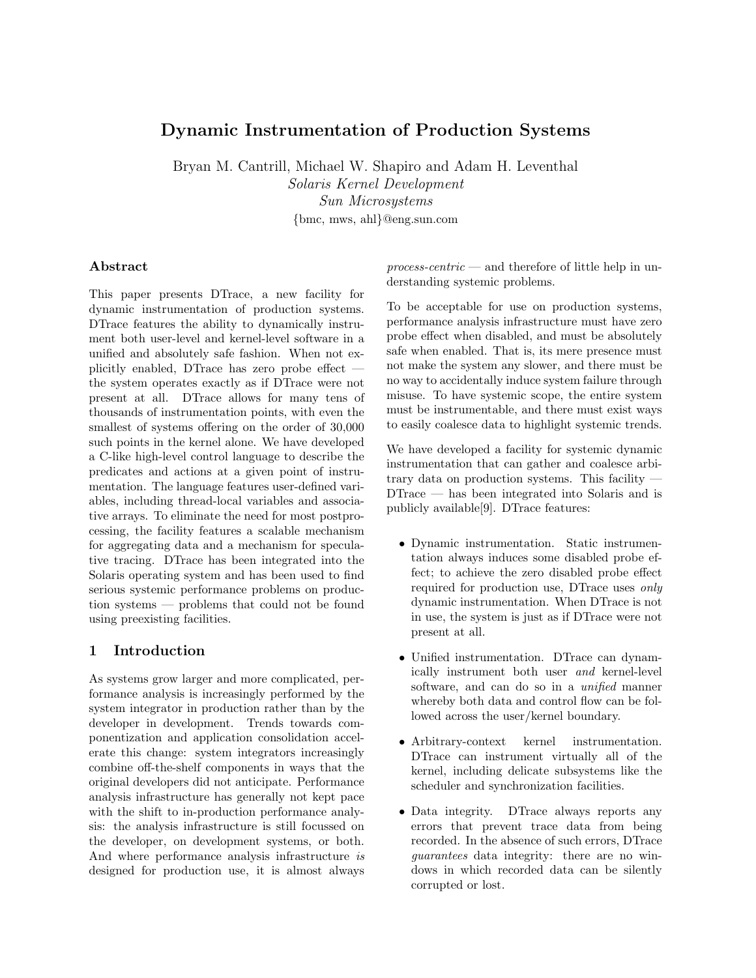# Dynamic Instrumentation of Production Systems

Bryan M. Cantrill, Michael W. Shapiro and Adam H. Leventhal

Solaris Kernel Development Sun Microsystems {bmc, mws, ahl}@eng.sun.com

### Abstract

This paper presents DTrace, a new facility for dynamic instrumentation of production systems. DTrace features the ability to dynamically instrument both user-level and kernel-level software in a unified and absolutely safe fashion. When not explicitly enabled, DTrace has zero probe effect the system operates exactly as if DTrace were not present at all. DTrace allows for many tens of thousands of instrumentation points, with even the smallest of systems offering on the order of 30,000 such points in the kernel alone. We have developed a C-like high-level control language to describe the predicates and actions at a given point of instrumentation. The language features user-defined variables, including thread-local variables and associative arrays. To eliminate the need for most postprocessing, the facility features a scalable mechanism for aggregating data and a mechanism for speculative tracing. DTrace has been integrated into the Solaris operating system and has been used to find serious systemic performance problems on production systems — problems that could not be found using preexisting facilities.

## 1 Introduction

As systems grow larger and more complicated, performance analysis is increasingly performed by the system integrator in production rather than by the developer in development. Trends towards componentization and application consolidation accelerate this change: system integrators increasingly combine off-the-shelf components in ways that the original developers did not anticipate. Performance analysis infrastructure has generally not kept pace with the shift to in-production performance analysis: the analysis infrastructure is still focussed on the developer, on development systems, or both. And where performance analysis infrastructure is designed for production use, it is almost always  $process\text{-}centric$  — and therefore of little help in understanding systemic problems.

To be acceptable for use on production systems, performance analysis infrastructure must have zero probe effect when disabled, and must be absolutely safe when enabled. That is, its mere presence must not make the system any slower, and there must be no way to accidentally induce system failure through misuse. To have systemic scope, the entire system must be instrumentable, and there must exist ways to easily coalesce data to highlight systemic trends.

We have developed a facility for systemic dynamic instrumentation that can gather and coalesce arbitrary data on production systems. This facility — DTrace — has been integrated into Solaris and is publicly available[9]. DTrace features:

- Dynamic instrumentation. Static instrumentation always induces some disabled probe effect; to achieve the zero disabled probe effect required for production use, DTrace uses only dynamic instrumentation. When DTrace is not in use, the system is just as if DTrace were not present at all.
- Unified instrumentation. DTrace can dynamically instrument both user and kernel-level software, and can do so in a *unified* manner whereby both data and control flow can be followed across the user/kernel boundary.
- Arbitrary-context kernel instrumentation. DTrace can instrument virtually all of the kernel, including delicate subsystems like the scheduler and synchronization facilities.
- Data integrity. DTrace always reports any errors that prevent trace data from being recorded. In the absence of such errors, DTrace guarantees data integrity: there are no windows in which recorded data can be silently corrupted or lost.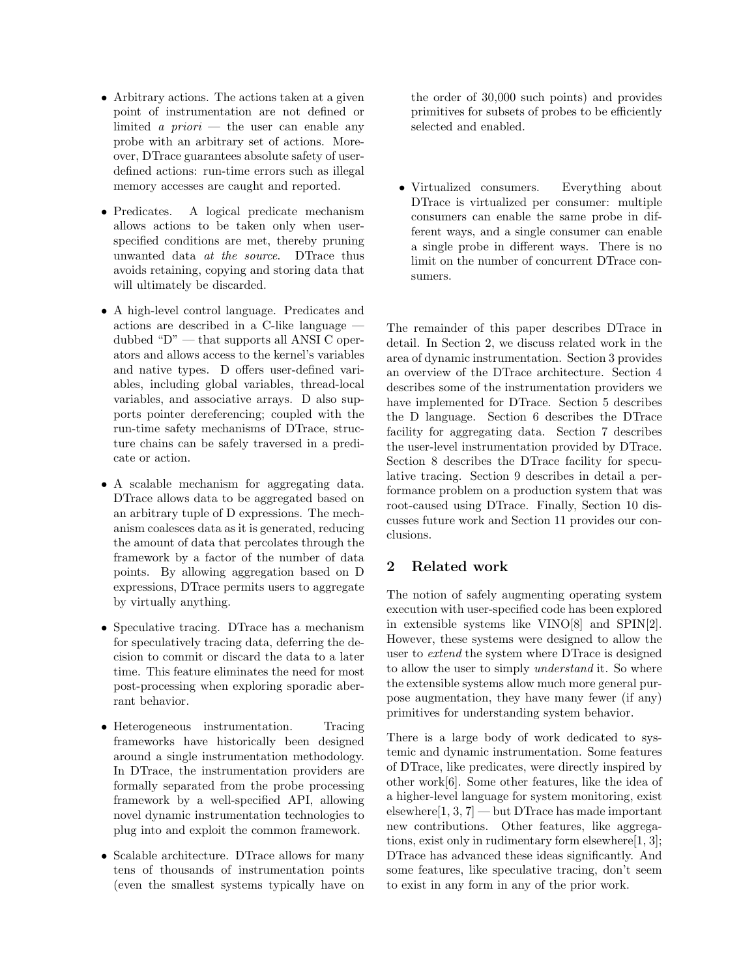- Arbitrary actions. The actions taken at a given point of instrumentation are not defined or limited a priori — the user can enable any probe with an arbitrary set of actions. Moreover, DTrace guarantees absolute safety of userdefined actions: run-time errors such as illegal memory accesses are caught and reported.
- Predicates. A logical predicate mechanism allows actions to be taken only when userspecified conditions are met, thereby pruning unwanted data at the source. DTrace thus avoids retaining, copying and storing data that will ultimately be discarded.
- A high-level control language. Predicates and actions are described in a C-like language dubbed "D" — that supports all ANSI C operators and allows access to the kernel's variables and native types. D offers user-defined variables, including global variables, thread-local variables, and associative arrays. D also supports pointer dereferencing; coupled with the run-time safety mechanisms of DTrace, structure chains can be safely traversed in a predicate or action.
- A scalable mechanism for aggregating data. DTrace allows data to be aggregated based on an arbitrary tuple of D expressions. The mechanism coalesces data as it is generated, reducing the amount of data that percolates through the framework by a factor of the number of data points. By allowing aggregation based on D expressions, DTrace permits users to aggregate by virtually anything.
- Speculative tracing. DTrace has a mechanism for speculatively tracing data, deferring the decision to commit or discard the data to a later time. This feature eliminates the need for most post-processing when exploring sporadic aberrant behavior.
- Heterogeneous instrumentation. Tracing frameworks have historically been designed around a single instrumentation methodology. In DTrace, the instrumentation providers are formally separated from the probe processing framework by a well-specified API, allowing novel dynamic instrumentation technologies to plug into and exploit the common framework.
- Scalable architecture. DTrace allows for many tens of thousands of instrumentation points (even the smallest systems typically have on

the order of 30,000 such points) and provides primitives for subsets of probes to be efficiently selected and enabled.

• Virtualized consumers. Everything about DTrace is virtualized per consumer: multiple consumers can enable the same probe in different ways, and a single consumer can enable a single probe in different ways. There is no limit on the number of concurrent DTrace consumers.

The remainder of this paper describes DTrace in detail. In Section 2, we discuss related work in the area of dynamic instrumentation. Section 3 provides an overview of the DTrace architecture. Section 4 describes some of the instrumentation providers we have implemented for DTrace. Section 5 describes the D language. Section 6 describes the DTrace facility for aggregating data. Section 7 describes the user-level instrumentation provided by DTrace. Section 8 describes the DTrace facility for speculative tracing. Section 9 describes in detail a performance problem on a production system that was root-caused using DTrace. Finally, Section 10 discusses future work and Section 11 provides our conclusions.

## 2 Related work

The notion of safely augmenting operating system execution with user-specified code has been explored in extensible systems like VINO[8] and SPIN[2]. However, these systems were designed to allow the user to extend the system where DTrace is designed to allow the user to simply understand it. So where the extensible systems allow much more general purpose augmentation, they have many fewer (if any) primitives for understanding system behavior.

There is a large body of work dedicated to systemic and dynamic instrumentation. Some features of DTrace, like predicates, were directly inspired by other work[6]. Some other features, like the idea of a higher-level language for system monitoring, exist elsewhere $[1, 3, 7]$  — but DTrace has made important new contributions. Other features, like aggregations, exist only in rudimentary form elsewhere[1, 3]; DTrace has advanced these ideas significantly. And some features, like speculative tracing, don't seem to exist in any form in any of the prior work.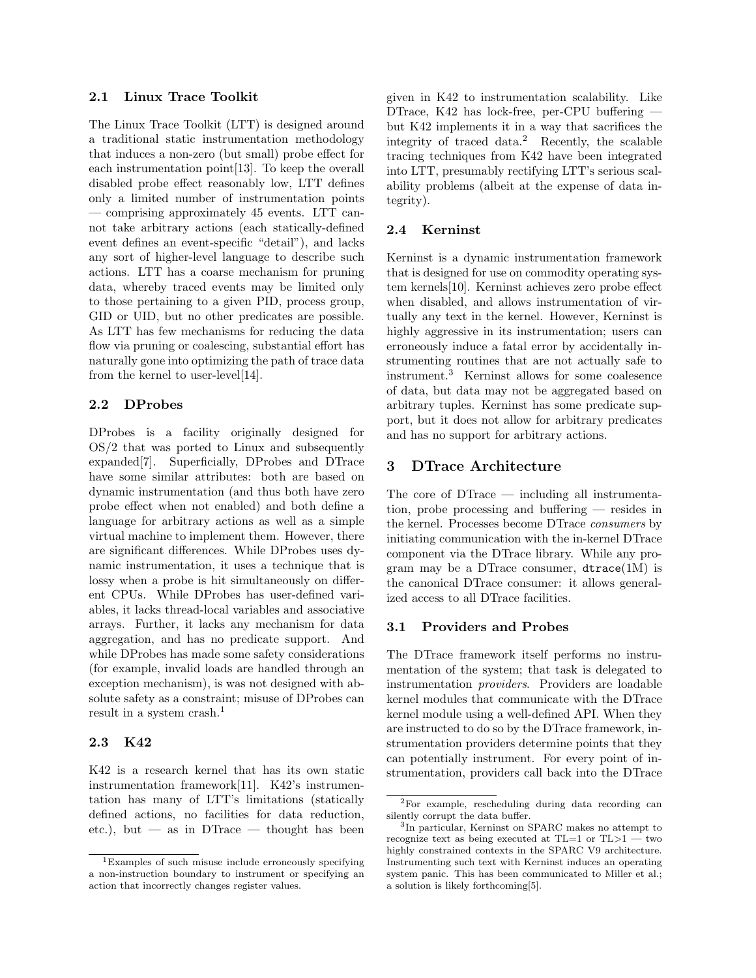#### 2.1 Linux Trace Toolkit

The Linux Trace Toolkit (LTT) is designed around a traditional static instrumentation methodology that induces a non-zero (but small) probe effect for each instrumentation point[13]. To keep the overall disabled probe effect reasonably low, LTT defines only a limited number of instrumentation points — comprising approximately 45 events. LTT cannot take arbitrary actions (each statically-defined event defines an event-specific "detail"), and lacks any sort of higher-level language to describe such actions. LTT has a coarse mechanism for pruning data, whereby traced events may be limited only to those pertaining to a given PID, process group, GID or UID, but no other predicates are possible. As LTT has few mechanisms for reducing the data flow via pruning or coalescing, substantial effort has naturally gone into optimizing the path of trace data from the kernel to user-level[14].

### 2.2 DProbes

DProbes is a facility originally designed for OS/2 that was ported to Linux and subsequently expanded[7]. Superficially, DProbes and DTrace have some similar attributes: both are based on dynamic instrumentation (and thus both have zero probe effect when not enabled) and both define a language for arbitrary actions as well as a simple virtual machine to implement them. However, there are significant differences. While DProbes uses dynamic instrumentation, it uses a technique that is lossy when a probe is hit simultaneously on different CPUs. While DProbes has user-defined variables, it lacks thread-local variables and associative arrays. Further, it lacks any mechanism for data aggregation, and has no predicate support. And while DProbes has made some safety considerations (for example, invalid loads are handled through an exception mechanism), is was not designed with absolute safety as a constraint; misuse of DProbes can result in a system crash.<sup>1</sup>

### 2.3 K42

K42 is a research kernel that has its own static instrumentation framework[11]. K42's instrumentation has many of LTT's limitations (statically defined actions, no facilities for data reduction, etc.), but — as in DTrace — thought has been

given in K42 to instrumentation scalability. Like DTrace, K42 has lock-free, per-CPU buffering but K42 implements it in a way that sacrifices the integrity of traced data.<sup>2</sup> Recently, the scalable tracing techniques from K42 have been integrated into LTT, presumably rectifying LTT's serious scalability problems (albeit at the expense of data integrity).

#### 2.4 Kerninst

Kerninst is a dynamic instrumentation framework that is designed for use on commodity operating system kernels[10]. Kerninst achieves zero probe effect when disabled, and allows instrumentation of virtually any text in the kernel. However, Kerninst is highly aggressive in its instrumentation; users can erroneously induce a fatal error by accidentally instrumenting routines that are not actually safe to instrument.<sup>3</sup> Kerninst allows for some coalesence of data, but data may not be aggregated based on arbitrary tuples. Kerninst has some predicate support, but it does not allow for arbitrary predicates and has no support for arbitrary actions.

#### 3 DTrace Architecture

The core of DTrace — including all instrumentation, probe processing and buffering — resides in the kernel. Processes become DTrace consumers by initiating communication with the in-kernel DTrace component via the DTrace library. While any program may be a DTrace consumer,  $dtrace(1M)$  is the canonical DTrace consumer: it allows generalized access to all DTrace facilities.

#### 3.1 Providers and Probes

The DTrace framework itself performs no instrumentation of the system; that task is delegated to instrumentation providers. Providers are loadable kernel modules that communicate with the DTrace kernel module using a well-defined API. When they are instructed to do so by the DTrace framework, instrumentation providers determine points that they can potentially instrument. For every point of instrumentation, providers call back into the DTrace

<sup>1</sup>Examples of such misuse include erroneously specifying a non-instruction boundary to instrument or specifying an action that incorrectly changes register values.

<sup>2</sup>For example, rescheduling during data recording can silently corrupt the data buffer.

<sup>3</sup> In particular, Kerninst on SPARC makes no attempt to recognize text as being executed at  $TL=1$  or  $TL>1$  — two highly constrained contexts in the SPARC V9 architecture. Instrumenting such text with Kerninst induces an operating system panic. This has been communicated to Miller et al.; a solution is likely forthcoming[5].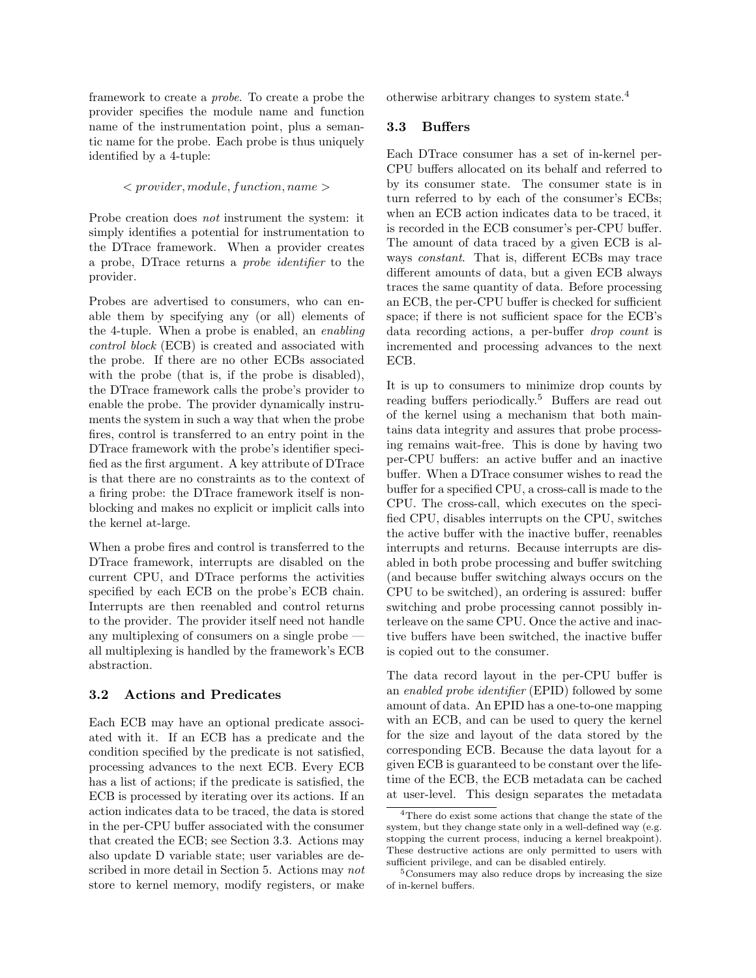framework to create a probe. To create a probe the provider specifies the module name and function name of the instrumentation point, plus a semantic name for the probe. Each probe is thus uniquely identified by a 4-tuple:

#### $\langle$  provider, module, function, name

Probe creation does not instrument the system: it simply identifies a potential for instrumentation to the DTrace framework. When a provider creates a probe, DTrace returns a probe identifier to the provider.

Probes are advertised to consumers, who can enable them by specifying any (or all) elements of the 4-tuple. When a probe is enabled, an enabling control block (ECB) is created and associated with the probe. If there are no other ECBs associated with the probe (that is, if the probe is disabled), the DTrace framework calls the probe's provider to enable the probe. The provider dynamically instruments the system in such a way that when the probe fires, control is transferred to an entry point in the DTrace framework with the probe's identifier specified as the first argument. A key attribute of DTrace is that there are no constraints as to the context of a firing probe: the DTrace framework itself is nonblocking and makes no explicit or implicit calls into the kernel at-large.

When a probe fires and control is transferred to the DTrace framework, interrupts are disabled on the current CPU, and DTrace performs the activities specified by each ECB on the probe's ECB chain. Interrupts are then reenabled and control returns to the provider. The provider itself need not handle any multiplexing of consumers on a single probe – all multiplexing is handled by the framework's ECB abstraction.

### 3.2 Actions and Predicates

Each ECB may have an optional predicate associated with it. If an ECB has a predicate and the condition specified by the predicate is not satisfied, processing advances to the next ECB. Every ECB has a list of actions; if the predicate is satisfied, the ECB is processed by iterating over its actions. If an action indicates data to be traced, the data is stored in the per-CPU buffer associated with the consumer that created the ECB; see Section 3.3. Actions may also update D variable state; user variables are described in more detail in Section 5. Actions may not store to kernel memory, modify registers, or make otherwise arbitrary changes to system state.<sup>4</sup>

#### 3.3 Buffers

Each DTrace consumer has a set of in-kernel per-CPU buffers allocated on its behalf and referred to by its consumer state. The consumer state is in turn referred to by each of the consumer's ECBs; when an ECB action indicates data to be traced, it is recorded in the ECB consumer's per-CPU buffer. The amount of data traced by a given ECB is always constant. That is, different ECBs may trace different amounts of data, but a given ECB always traces the same quantity of data. Before processing an ECB, the per-CPU buffer is checked for sufficient space; if there is not sufficient space for the ECB's data recording actions, a per-buffer drop count is incremented and processing advances to the next ECB.

It is up to consumers to minimize drop counts by reading buffers periodically.<sup>5</sup> Buffers are read out of the kernel using a mechanism that both maintains data integrity and assures that probe processing remains wait-free. This is done by having two per-CPU buffers: an active buffer and an inactive buffer. When a DTrace consumer wishes to read the buffer for a specified CPU, a cross-call is made to the CPU. The cross-call, which executes on the specified CPU, disables interrupts on the CPU, switches the active buffer with the inactive buffer, reenables interrupts and returns. Because interrupts are disabled in both probe processing and buffer switching (and because buffer switching always occurs on the CPU to be switched), an ordering is assured: buffer switching and probe processing cannot possibly interleave on the same CPU. Once the active and inactive buffers have been switched, the inactive buffer is copied out to the consumer.

The data record layout in the per-CPU buffer is an enabled probe identifier (EPID) followed by some amount of data. An EPID has a one-to-one mapping with an ECB, and can be used to query the kernel for the size and layout of the data stored by the corresponding ECB. Because the data layout for a given ECB is guaranteed to be constant over the lifetime of the ECB, the ECB metadata can be cached at user-level. This design separates the metadata

<sup>&</sup>lt;sup>4</sup>There do exist some actions that change the state of the system, but they change state only in a well-defined way (e.g. stopping the current process, inducing a kernel breakpoint). These destructive actions are only permitted to users with sufficient privilege, and can be disabled entirely.

<sup>5</sup>Consumers may also reduce drops by increasing the size of in-kernel buffers.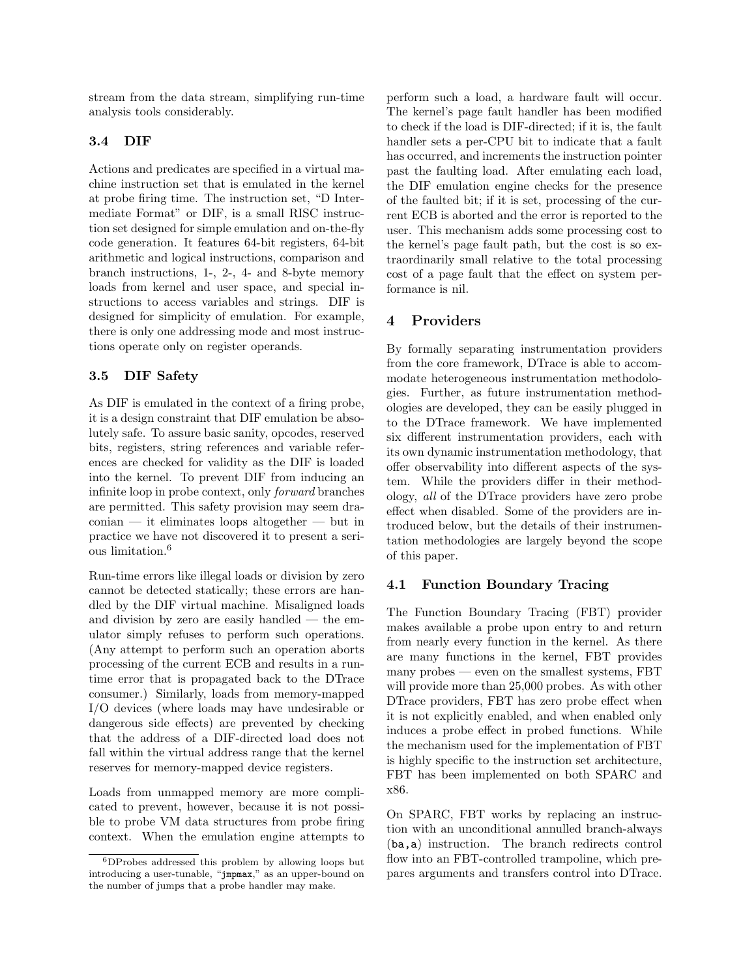stream from the data stream, simplifying run-time analysis tools considerably.

### 3.4 DIF

Actions and predicates are specified in a virtual machine instruction set that is emulated in the kernel at probe firing time. The instruction set, "D Intermediate Format" or DIF, is a small RISC instruction set designed for simple emulation and on-the-fly code generation. It features 64-bit registers, 64-bit arithmetic and logical instructions, comparison and branch instructions, 1-, 2-, 4- and 8-byte memory loads from kernel and user space, and special instructions to access variables and strings. DIF is designed for simplicity of emulation. For example, there is only one addressing mode and most instructions operate only on register operands.

### 3.5 DIF Safety

As DIF is emulated in the context of a firing probe, it is a design constraint that DIF emulation be absolutely safe. To assure basic sanity, opcodes, reserved bits, registers, string references and variable references are checked for validity as the DIF is loaded into the kernel. To prevent DIF from inducing an infinite loop in probe context, only forward branches are permitted. This safety provision may seem draconian — it eliminates loops altogether — but in practice we have not discovered it to present a serious limitation.<sup>6</sup>

Run-time errors like illegal loads or division by zero cannot be detected statically; these errors are handled by the DIF virtual machine. Misaligned loads and division by zero are easily handled  $-$  the emulator simply refuses to perform such operations. (Any attempt to perform such an operation aborts processing of the current ECB and results in a runtime error that is propagated back to the DTrace consumer.) Similarly, loads from memory-mapped I/O devices (where loads may have undesirable or dangerous side effects) are prevented by checking that the address of a DIF-directed load does not fall within the virtual address range that the kernel reserves for memory-mapped device registers.

Loads from unmapped memory are more complicated to prevent, however, because it is not possible to probe VM data structures from probe firing context. When the emulation engine attempts to perform such a load, a hardware fault will occur. The kernel's page fault handler has been modified to check if the load is DIF-directed; if it is, the fault handler sets a per-CPU bit to indicate that a fault has occurred, and increments the instruction pointer past the faulting load. After emulating each load, the DIF emulation engine checks for the presence of the faulted bit; if it is set, processing of the current ECB is aborted and the error is reported to the user. This mechanism adds some processing cost to the kernel's page fault path, but the cost is so extraordinarily small relative to the total processing cost of a page fault that the effect on system performance is nil.

## 4 Providers

By formally separating instrumentation providers from the core framework, DTrace is able to accommodate heterogeneous instrumentation methodologies. Further, as future instrumentation methodologies are developed, they can be easily plugged in to the DTrace framework. We have implemented six different instrumentation providers, each with its own dynamic instrumentation methodology, that offer observability into different aspects of the system. While the providers differ in their methodology, all of the DTrace providers have zero probe effect when disabled. Some of the providers are introduced below, but the details of their instrumentation methodologies are largely beyond the scope of this paper.

### 4.1 Function Boundary Tracing

The Function Boundary Tracing (FBT) provider makes available a probe upon entry to and return from nearly every function in the kernel. As there are many functions in the kernel, FBT provides many probes — even on the smallest systems, FBT will provide more than 25,000 probes. As with other DTrace providers, FBT has zero probe effect when it is not explicitly enabled, and when enabled only induces a probe effect in probed functions. While the mechanism used for the implementation of FBT is highly specific to the instruction set architecture, FBT has been implemented on both SPARC and x86.

On SPARC, FBT works by replacing an instruction with an unconditional annulled branch-always (ba,a) instruction. The branch redirects control flow into an FBT-controlled trampoline, which prepares arguments and transfers control into DTrace.

<sup>6</sup>DProbes addressed this problem by allowing loops but introducing a user-tunable, "jmpmax," as an upper-bound on the number of jumps that a probe handler may make.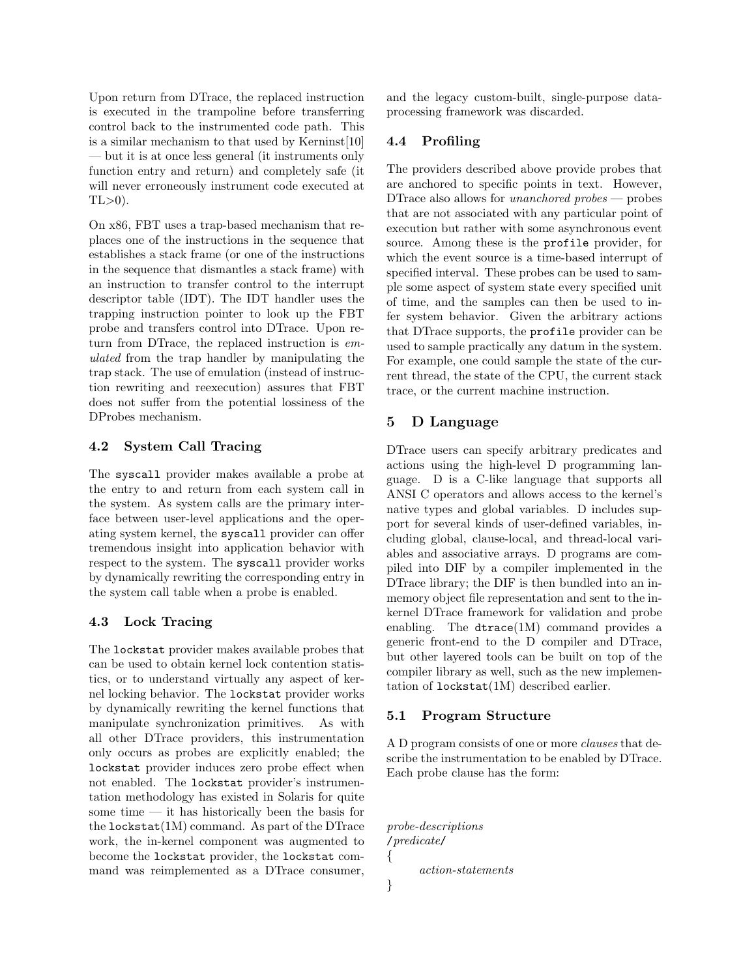Upon return from DTrace, the replaced instruction is executed in the trampoline before transferring control back to the instrumented code path. This is a similar mechanism to that used by Kerninst[10] — but it is at once less general (it instruments only function entry and return) and completely safe (it will never erroneously instrument code executed at  $TL>0$ ).

On x86, FBT uses a trap-based mechanism that replaces one of the instructions in the sequence that establishes a stack frame (or one of the instructions in the sequence that dismantles a stack frame) with an instruction to transfer control to the interrupt descriptor table (IDT). The IDT handler uses the trapping instruction pointer to look up the FBT probe and transfers control into DTrace. Upon return from DTrace, the replaced instruction is emulated from the trap handler by manipulating the trap stack. The use of emulation (instead of instruction rewriting and reexecution) assures that FBT does not suffer from the potential lossiness of the DProbes mechanism.

## 4.2 System Call Tracing

The syscall provider makes available a probe at the entry to and return from each system call in the system. As system calls are the primary interface between user-level applications and the operating system kernel, the syscall provider can offer tremendous insight into application behavior with respect to the system. The syscall provider works by dynamically rewriting the corresponding entry in the system call table when a probe is enabled.

#### 4.3 Lock Tracing

The lockstat provider makes available probes that can be used to obtain kernel lock contention statistics, or to understand virtually any aspect of kernel locking behavior. The lockstat provider works by dynamically rewriting the kernel functions that manipulate synchronization primitives. As with all other DTrace providers, this instrumentation only occurs as probes are explicitly enabled; the lockstat provider induces zero probe effect when not enabled. The lockstat provider's instrumentation methodology has existed in Solaris for quite some time — it has historically been the basis for the  $lockstat(1M)$  command. As part of the DTrace work, the in-kernel component was augmented to become the lockstat provider, the lockstat command was reimplemented as a DTrace consumer,

and the legacy custom-built, single-purpose dataprocessing framework was discarded.

### 4.4 Profiling

The providers described above provide probes that are anchored to specific points in text. However, DTrace also allows for *unanchored probes* — probes that are not associated with any particular point of execution but rather with some asynchronous event source. Among these is the profile provider, for which the event source is a time-based interrupt of specified interval. These probes can be used to sample some aspect of system state every specified unit of time, and the samples can then be used to infer system behavior. Given the arbitrary actions that DTrace supports, the profile provider can be used to sample practically any datum in the system. For example, one could sample the state of the current thread, the state of the CPU, the current stack trace, or the current machine instruction.

### 5 D Language

DTrace users can specify arbitrary predicates and actions using the high-level D programming language. D is a C-like language that supports all ANSI C operators and allows access to the kernel's native types and global variables. D includes support for several kinds of user-defined variables, including global, clause-local, and thread-local variables and associative arrays. D programs are compiled into DIF by a compiler implemented in the DTrace library; the DIF is then bundled into an inmemory object file representation and sent to the inkernel DTrace framework for validation and probe enabling. The dtrace(1M) command provides a generic front-end to the D compiler and DTrace, but other layered tools can be built on top of the compiler library as well, such as the new implementation of lockstat(1M) described earlier.

#### 5.1 Program Structure

A D program consists of one or more clauses that describe the instrumentation to be enabled by DTrace. Each probe clause has the form:

```
probe-descriptions
/predicate/
{
      action-statements
}
```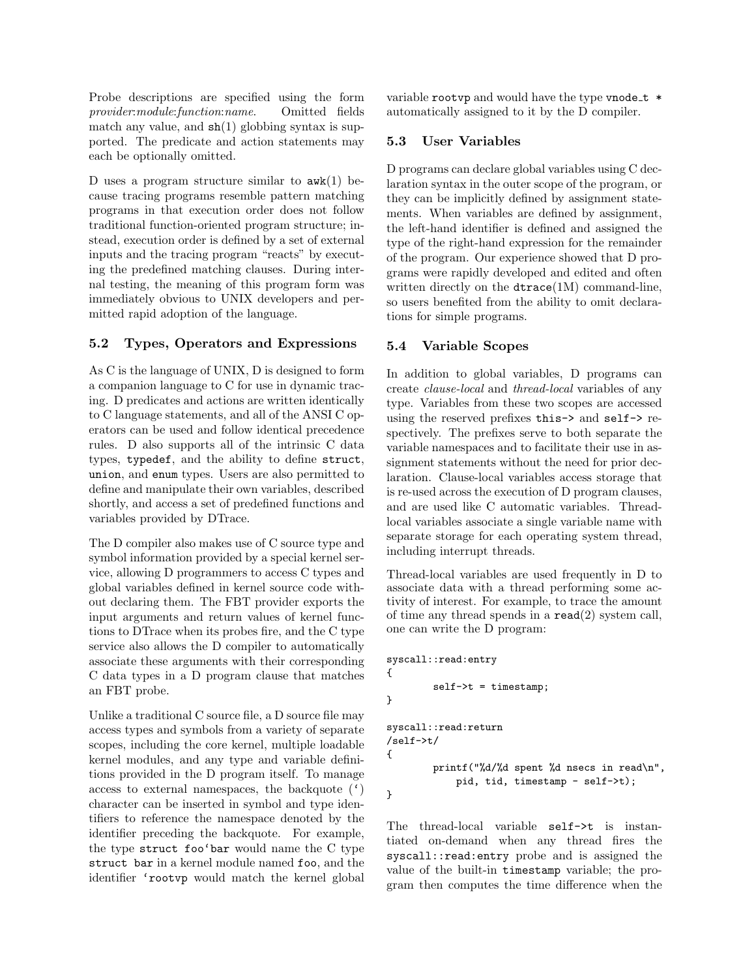Probe descriptions are specified using the form provider:module:function:name. Omitted fields match any value, and  $\mathsf{sh}(1)$  globbing syntax is supported. The predicate and action statements may each be optionally omitted.

D uses a program structure similar to  $\mathbf{awk}(1)$  because tracing programs resemble pattern matching programs in that execution order does not follow traditional function-oriented program structure; instead, execution order is defined by a set of external inputs and the tracing program "reacts" by executing the predefined matching clauses. During internal testing, the meaning of this program form was immediately obvious to UNIX developers and permitted rapid adoption of the language.

## 5.2 Types, Operators and Expressions

As C is the language of UNIX, D is designed to form a companion language to C for use in dynamic tracing. D predicates and actions are written identically to C language statements, and all of the ANSI C operators can be used and follow identical precedence rules. D also supports all of the intrinsic C data types, typedef, and the ability to define struct, union, and enum types. Users are also permitted to define and manipulate their own variables, described shortly, and access a set of predefined functions and variables provided by DTrace.

The D compiler also makes use of C source type and symbol information provided by a special kernel service, allowing D programmers to access C types and global variables defined in kernel source code without declaring them. The FBT provider exports the input arguments and return values of kernel functions to DTrace when its probes fire, and the C type service also allows the D compiler to automatically associate these arguments with their corresponding C data types in a D program clause that matches an FBT probe.

Unlike a traditional C source file, a D source file may access types and symbols from a variety of separate scopes, including the core kernel, multiple loadable kernel modules, and any type and variable definitions provided in the D program itself. To manage access to external namespaces, the backquote  $(')$ character can be inserted in symbol and type identifiers to reference the namespace denoted by the identifier preceding the backquote. For example, the type struct foo'bar would name the C type struct bar in a kernel module named foo, and the identifier 'rootvp would match the kernel global

variable rootvp and would have the type vnode  $t *$ automatically assigned to it by the D compiler.

## 5.3 User Variables

D programs can declare global variables using C declaration syntax in the outer scope of the program, or they can be implicitly defined by assignment statements. When variables are defined by assignment, the left-hand identifier is defined and assigned the type of the right-hand expression for the remainder of the program. Our experience showed that D programs were rapidly developed and edited and often written directly on the dtrace(1M) command-line, so users benefited from the ability to omit declarations for simple programs.

## 5.4 Variable Scopes

In addition to global variables, D programs can create clause-local and thread-local variables of any type. Variables from these two scopes are accessed using the reserved prefixes this-> and self-> respectively. The prefixes serve to both separate the variable namespaces and to facilitate their use in assignment statements without the need for prior declaration. Clause-local variables access storage that is re-used across the execution of D program clauses, and are used like C automatic variables. Threadlocal variables associate a single variable name with separate storage for each operating system thread, including interrupt threads.

Thread-local variables are used frequently in D to associate data with a thread performing some activity of interest. For example, to trace the amount of time any thread spends in a  $\text{read}(2)$  system call, one can write the D program:

```
syscall::read:entry
{
        self->t = timestamp;
}
syscall::read:return
/self->t/
{
        printf("%d/%d spent %d nsecs in read\n",
            pid, tid, timestamp - self->t);
}
```
The thread-local variable self->t is instantiated on-demand when any thread fires the syscall::read:entry probe and is assigned the value of the built-in timestamp variable; the program then computes the time difference when the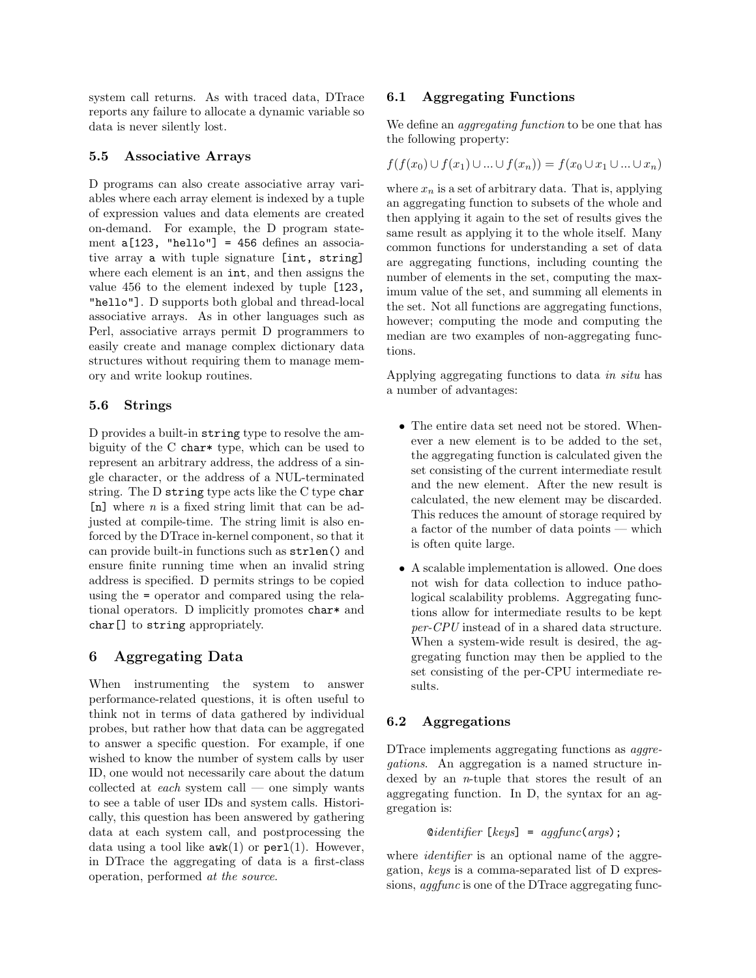system call returns. As with traced data, DTrace reports any failure to allocate a dynamic variable so data is never silently lost.

### 5.5 Associative Arrays

D programs can also create associative array variables where each array element is indexed by a tuple of expression values and data elements are created on-demand. For example, the D program statement a[123, "hello"] = 456 defines an associative array a with tuple signature [int, string] where each element is an int, and then assigns the value 456 to the element indexed by tuple [123, "hello"]. D supports both global and thread-local associative arrays. As in other languages such as Perl, associative arrays permit D programmers to easily create and manage complex dictionary data structures without requiring them to manage memory and write lookup routines.

### 5.6 Strings

D provides a built-in string type to resolve the ambiguity of the C char\* type, which can be used to represent an arbitrary address, the address of a single character, or the address of a NUL-terminated string. The D string type acts like the C type char  $[n]$  where *n* is a fixed string limit that can be adjusted at compile-time. The string limit is also enforced by the DTrace in-kernel component, so that it can provide built-in functions such as strlen() and ensure finite running time when an invalid string address is specified. D permits strings to be copied using the = operator and compared using the relational operators. D implicitly promotes char\* and char[] to string appropriately.

## 6 Aggregating Data

When instrumenting the system to answer performance-related questions, it is often useful to think not in terms of data gathered by individual probes, but rather how that data can be aggregated to answer a specific question. For example, if one wished to know the number of system calls by user ID, one would not necessarily care about the datum collected at *each* system call — one simply wants to see a table of user IDs and system calls. Historically, this question has been answered by gathering data at each system call, and postprocessing the data using a tool like  $\text{awk}(1)$  or  $\text{perl}(1)$ . However, in DTrace the aggregating of data is a first-class operation, performed at the source.

### 6.1 Aggregating Functions

We define an aggregating function to be one that has the following property:

$$
f(f(x_0) \cup f(x_1) \cup ... \cup f(x_n)) = f(x_0 \cup x_1 \cup ... \cup x_n)
$$

where  $x_n$  is a set of arbitrary data. That is, applying an aggregating function to subsets of the whole and then applying it again to the set of results gives the same result as applying it to the whole itself. Many common functions for understanding a set of data are aggregating functions, including counting the number of elements in the set, computing the maximum value of the set, and summing all elements in the set. Not all functions are aggregating functions, however; computing the mode and computing the median are two examples of non-aggregating functions.

Applying aggregating functions to data in situ has a number of advantages:

- The entire data set need not be stored. Whenever a new element is to be added to the set, the aggregating function is calculated given the set consisting of the current intermediate result and the new element. After the new result is calculated, the new element may be discarded. This reduces the amount of storage required by a factor of the number of data points — which is often quite large.
- A scalable implementation is allowed. One does not wish for data collection to induce pathological scalability problems. Aggregating functions allow for intermediate results to be kept per-CPU instead of in a shared data structure. When a system-wide result is desired, the aggregating function may then be applied to the set consisting of the per-CPU intermediate results.

## 6.2 Aggregations

DTrace implements aggregating functions as *aggre*gations. An aggregation is a named structure indexed by an n-tuple that stores the result of an aggregating function. In D, the syntax for an aggregation is:

 $\otimes$ *identifier* [keys] = aggfunc(args);

where *identifier* is an optional name of the aggregation, keys is a comma-separated list of D expressions, *aggfunc* is one of the DTrace aggregating func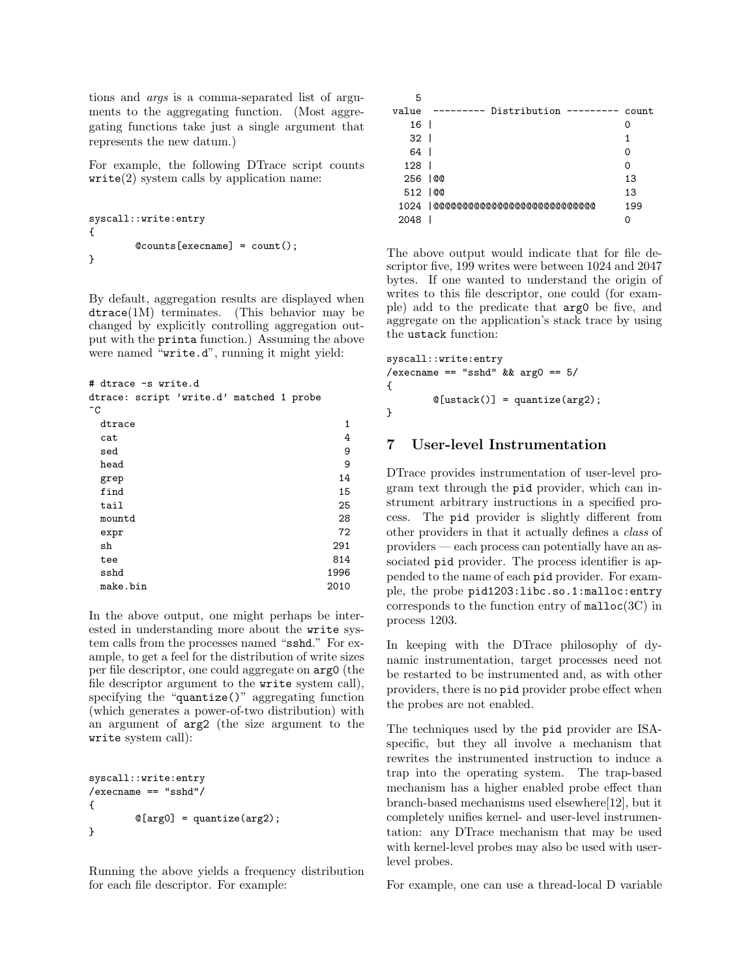tions and args is a comma-separated list of arguments to the aggregating function. (Most aggregating functions take just a single argument that represents the new datum.)

For example, the following DTrace script counts  $write(2)$  system calls by application name:

```
syscall::write:entry
{
        @counts[execname] = count();
}
```
By default, aggregation results are displayed when dtrace(1M) terminates. (This behavior may be changed by explicitly controlling aggregation output with the printa function.) Assuming the above were named "write.d", running it might yield:

# dtrace -s write.d

|               | dtrace: script 'write.d' matched 1 probe |  |  |
|---------------|------------------------------------------|--|--|
| $\sim$ $\sim$ |                                          |  |  |

| $\hat{C}$ |      |
|-----------|------|
| dtrace    | 1    |
| cat       | 4    |
| sed       | 9    |
| head      | 9    |
| grep      | 14   |
| find      | 15   |
| tail      | 25   |
| mountd    | 28   |
| expr      | 72   |
| sh        | 291  |
| tee       | 814  |
| sshd      | 1996 |
| make.bin  | 2010 |

In the above output, one might perhaps be interested in understanding more about the write system calls from the processes named "sshd." For example, to get a feel for the distribution of write sizes per file descriptor, one could aggregate on arg0 (the file descriptor argument to the write system call), specifying the "quantize()" aggregating function (which generates a power-of-two distribution) with an argument of arg2 (the size argument to the write system call):

```
syscall::write:entry
/execname == "sshd"/
{
        @[arg0] = quantize(arg2);}
```
Running the above yields a frequency distribution for each file descriptor. For example:

| 5        |                                       |       |
|----------|---------------------------------------|-------|
| value    | Distribution $---$<br>$\qquad \qquad$ | count |
| 16       |                                       |       |
| 32 I     |                                       |       |
| 64       |                                       | O     |
| 128      |                                       | Ω     |
| 256   @  |                                       | 13    |
| 512   00 |                                       | 13    |
|          | 1024    00000000000000000000000000000 | 199   |
| 2048     |                                       |       |

The above output would indicate that for file descriptor five, 199 writes were between 1024 and 2047 bytes. If one wanted to understand the origin of writes to this file descriptor, one could (for example) add to the predicate that arg0 be five, and aggregate on the application's stack trace by using the ustack function:

```
syscall::write:entry
/execname == "sshd" & x \neq 5/
{
        @[ustack()] = quantize(arg2);}
```
## 7 User-level Instrumentation

DTrace provides instrumentation of user-level program text through the pid provider, which can instrument arbitrary instructions in a specified process. The pid provider is slightly different from other providers in that it actually defines a class of providers — each process can potentially have an associated pid provider. The process identifier is appended to the name of each pid provider. For example, the probe pid1203:libc.so.1:malloc:entry corresponds to the function entry of  $\text{malloc}(3C)$  in process 1203.

In keeping with the DTrace philosophy of dynamic instrumentation, target processes need not be restarted to be instrumented and, as with other providers, there is no pid provider probe effect when the probes are not enabled.

The techniques used by the pid provider are ISAspecific, but they all involve a mechanism that rewrites the instrumented instruction to induce a trap into the operating system. The trap-based mechanism has a higher enabled probe effect than branch-based mechanisms used elsewhere[12], but it completely unifies kernel- and user-level instrumentation: any DTrace mechanism that may be used with kernel-level probes may also be used with userlevel probes.

For example, one can use a thread-local D variable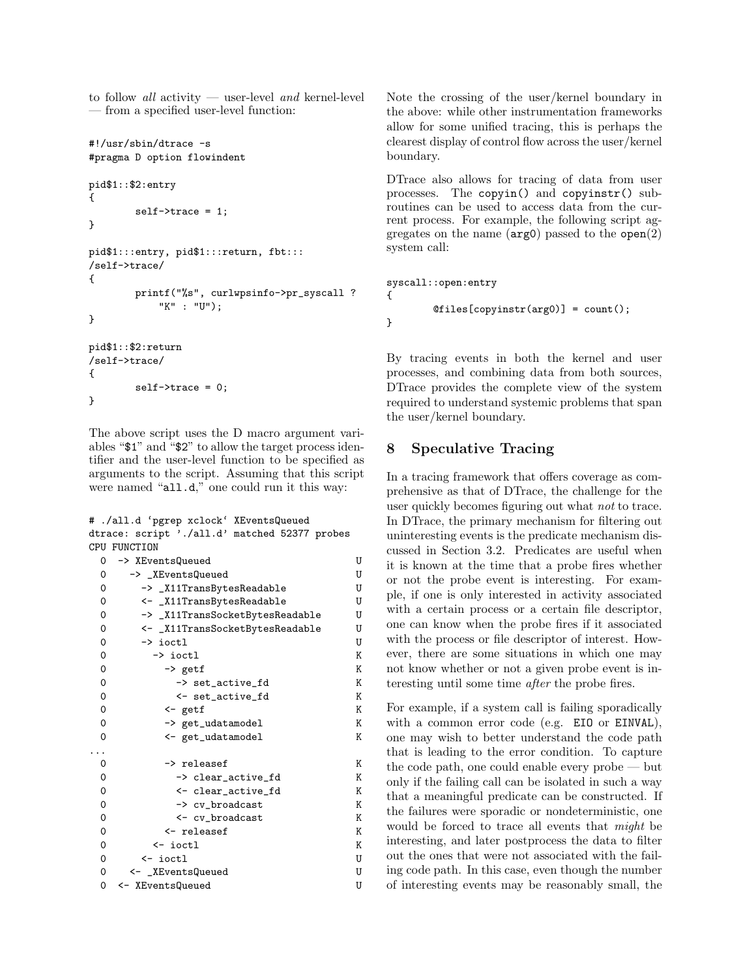to follow all activity — user-level and kernel-level — from a specified user-level function:

```
#!/usr/sbin/dtrace -s
#pragma D option flowindent
pid$1::$2:entry
{
        self->trace = 1;
}
pid$1:::entry, pid$1:::return, fbt:::
/self->trace/
{
        printf("%s", curlwpsinfo->pr_syscall ?
            "K" : "U");
}
pid$1::$2:return
/self->trace/
{
        self->trace = 0;
}
```
The above script uses the D macro argument variables "\$1" and "\$2" to allow the target process identifier and the user-level function to be specified as arguments to the script. Assuming that this script were named "all.d," one could run it this way:

# ./all.d 'pgrep xclock' XEventsQueued dtrace: script './all.d' matched 52377 probes CPU FUNCTION

```
0 -> XEventsQueued U
0 -> _XEventsQueued U
0 -> _X11TransBytesReadable U
0 <- _X11TransBytesReadable U
0 -> _X11TransSocketBytesReadable U
0 <- _X11TransSocketBytesReadable U
0 -> ioctl U
0 \longrightarrow ioctl K
0 -> getf K
0 -> set_active_fd K
0 <- set_active_fd K
0 <- getf K
0 -> get_udatamodel K
0 <- get_udatamodel K
...
0 -> releasef K
0 -> clear_active_fd K
0 <- clear_active_fd K
0 -> cv_broadcast K
0 <- cv_broadcast K
0 <- releasef K
0 <- ioctl K
0 <- ioctl U
0 <- _XEventsQueued U
0 <- XEventsQueued U
```
Note the crossing of the user/kernel boundary in the above: while other instrumentation frameworks allow for some unified tracing, this is perhaps the clearest display of control flow across the user/kernel boundary.

DTrace also allows for tracing of data from user processes. The copyin() and copyinstr() subroutines can be used to access data from the current process. For example, the following script aggregates on the name  $(\arg 0)$  passed to the open $(2)$ system call:

```
syscall::open:entry
{
        @files[copyinstr(arg0)] = count();}
```
By tracing events in both the kernel and user processes, and combining data from both sources, DTrace provides the complete view of the system required to understand systemic problems that span the user/kernel boundary.

## 8 Speculative Tracing

In a tracing framework that offers coverage as comprehensive as that of DTrace, the challenge for the user quickly becomes figuring out what not to trace. In DTrace, the primary mechanism for filtering out uninteresting events is the predicate mechanism discussed in Section 3.2. Predicates are useful when it is known at the time that a probe fires whether or not the probe event is interesting. For example, if one is only interested in activity associated with a certain process or a certain file descriptor, one can know when the probe fires if it associated with the process or file descriptor of interest. However, there are some situations in which one may not know whether or not a given probe event is interesting until some time after the probe fires.

For example, if a system call is failing sporadically with a common error code (e.g. EIO or EINVAL), one may wish to better understand the code path that is leading to the error condition. To capture the code path, one could enable every probe — but only if the failing call can be isolated in such a way that a meaningful predicate can be constructed. If the failures were sporadic or nondeterministic, one would be forced to trace all events that might be interesting, and later postprocess the data to filter out the ones that were not associated with the failing code path. In this case, even though the number of interesting events may be reasonably small, the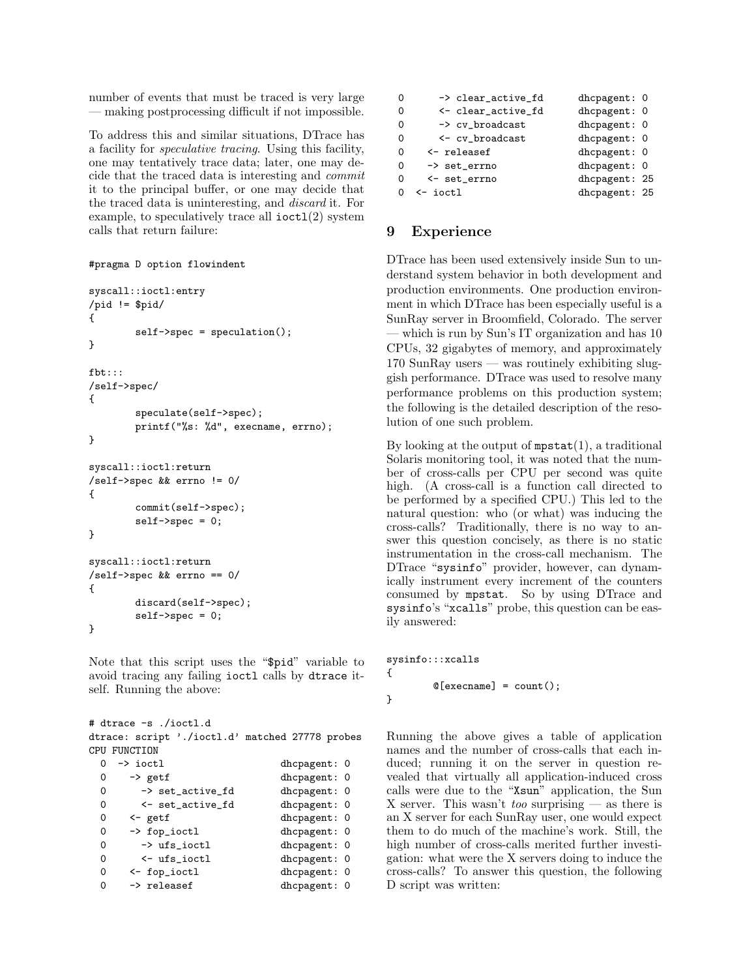number of events that must be traced is very large — making postprocessing difficult if not impossible.

To address this and similar situations, DTrace has a facility for speculative tracing. Using this facility, one may tentatively trace data; later, one may decide that the traced data is interesting and commit it to the principal buffer, or one may decide that the traced data is uninteresting, and discard it. For example, to speculatively trace all  $i$ oct $1(2)$  system calls that return failure:

```
#pragma D option flowindent
```

```
syscall::ioctl:entry
/pid != $pid/
{
        self->spec = speculation();
}
fbt:::
/self->spec/
{
        speculate(self->spec);
        printf("%s: %d", execname, errno);
}
syscall::ioctl:return
/self->spec && errno != 0/
{
        commit(self->spec);
        self \rightarrow spec = 0;}
syscall::ioctl:return
/self->spec && errno == 0/
{
        discard(self->spec);
        self->spec = 0;}
```
Note that this script uses the "\$pid" variable to avoid tracing any failing ioctl calls by dtrace itself. Running the above:

# dtrace -s ./ioctl.d dtrace: script './ioctl.d' matched 27778 probes CPU FUNCTION<br>0 -> ioctl dhcpagent: 0

| $\Omega$ | $\rightarrow$ getf     | dhcpagent: 0 |
|----------|------------------------|--------------|
| $\Omega$ | -> set_active_fd       | dhcpagent: 0 |
| $\Omega$ | <- set_active_fd       | dhcpagent: 0 |
| $\Omega$ | $\leftarrow$ getf      | dhcpagent: 0 |
| $\Omega$ | -> fop_ioctl           | dhcpagent: 0 |
| $\Omega$ | -> ufs_ioctl           | dhcpagent: 0 |
| $\Omega$ | $\leftarrow$ ufs_ioctl | dhcpagent: 0 |
| $\Omega$ | $\leftarrow$ fop_ioctl | dhcpagent: 0 |
| $\Omega$ | -> releasef            | dhcpagent: 0 |

| $\Omega$ | -> clear_active_fd    | dhcpagent: 0  |  |
|----------|-----------------------|---------------|--|
| $\Omega$ | <- clear_active_fd    | dhcpagent: 0  |  |
| $\Omega$ | -> cv_broadcast       | dhcpagent: 0  |  |
| $\Omega$ | <- cv_broadcast       | dhcpagent: 0  |  |
| $\Omega$ | $\leftarrow$ releasef | dhcpagent: 0  |  |
| $\Omega$ | -> set_errno          | dhcpagent: 0  |  |
| $\Omega$ | <- set_errno          | dhcpagent: 25 |  |
|          | $\leftarrow$ ioctl    | dhcpagent: 25 |  |
|          |                       |               |  |

## 9 Experience

DTrace has been used extensively inside Sun to understand system behavior in both development and production environments. One production environment in which DTrace has been especially useful is a SunRay server in Broomfield, Colorado. The server which is run by Sun's IT organization and has 10 CPUs, 32 gigabytes of memory, and approximately 170 SunRay users — was routinely exhibiting sluggish performance. DTrace was used to resolve many performance problems on this production system; the following is the detailed description of the resolution of one such problem.

By looking at the output of  $m$  $\text{dist}(1)$ , a traditional Solaris monitoring tool, it was noted that the number of cross-calls per CPU per second was quite high. (A cross-call is a function call directed to be performed by a specified CPU.) This led to the natural question: who (or what) was inducing the cross-calls? Traditionally, there is no way to answer this question concisely, as there is no static instrumentation in the cross-call mechanism. The DTrace "sysinfo" provider, however, can dynamically instrument every increment of the counters consumed by mpstat. So by using DTrace and sysinfo's "xcalls" probe, this question can be easily answered:

```
sysinfo:::xcalls
{
        @[execname] = count();
```
}

Running the above gives a table of application names and the number of cross-calls that each induced; running it on the server in question revealed that virtually all application-induced cross calls were due to the "Xsun" application, the Sun X server. This wasn't *too* surprising — as there is an X server for each SunRay user, one would expect them to do much of the machine's work. Still, the high number of cross-calls merited further investigation: what were the X servers doing to induce the cross-calls? To answer this question, the following D script was written: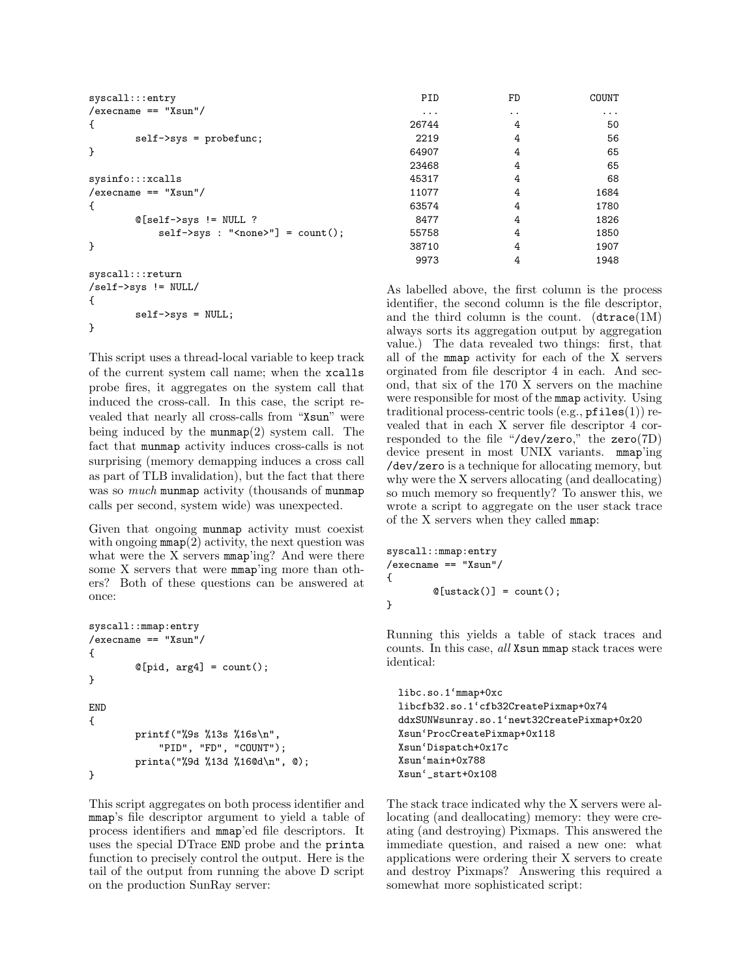| syscall::entry                     | PID   | FD                   | COUNT    |
|------------------------------------|-------|----------------------|----------|
| $/$ execname == "Xsun"/            | .     | $\ddot{\phantom{0}}$ | $\cdots$ |
| €                                  | 26744 | 4                    | 50       |
| $self->sys = probefunc;$           | 2219  | 4                    | 56       |
| }                                  | 64907 | 4                    | 65       |
|                                    | 23468 | 4                    | 65       |
| sysinfo::xcalls                    | 45317 | 4                    | 68       |
| $/$ execname == "Xsun"/            | 11077 | 4                    | 1684     |
| €                                  | 63574 | 4                    | 1780     |
| $@[self->sys  = NULL ?$            | 8477  | 4                    | 1826     |
| $self->sys: "None}>"] = count()$ ; | 55758 | 4                    | 1850     |
| }                                  | 38710 | 4                    | 1907     |
|                                    | 9973  | 4                    | 1948     |
| syscall::return                    |       |                      |          |

As labelled above, the first column is the process identifier, the second column is the file descriptor, and the third column is the count.  $(\text{drace}(1M))$ always sorts its aggregation output by aggregation value.) The data revealed two things: first, that all of the mmap activity for each of the X servers orginated from file descriptor 4 in each. And second, that six of the 170 X servers on the machine were responsible for most of the mmap activity. Using traditional process-centric tools  $(e.g., pfiles(1))$  revealed that in each X server file descriptor 4 corresponded to the file "/dev/zero," the zero(7D) device present in most UNIX variants. mmap'ing /dev/zero is a technique for allocating memory, but why were the X servers allocating (and deallocating) so much memory so frequently? To answer this, we wrote a script to aggregate on the user stack trace of the X servers when they called mmap:

```
syscall::mmap:entry
/execname == "Xsun"/
{
        @[ustack()] = count();}
```
Running this yields a table of stack traces and counts. In this case, all Xsun mmap stack traces were identical:

```
libc.so.1'mmap+0xc
libcfb32.so.1'cfb32CreatePixmap+0x74
ddxSUNWsunray.so.1'newt32CreatePixmap+0x20
Xsun'ProcCreatePixmap+0x118
Xsun'Dispatch+0x17c
Xsun'main+0x788
Xsun'_start+0x108
```
The stack trace indicated why the X servers were allocating (and deallocating) memory: they were creating (and destroying) Pixmaps. This answered the immediate question, and raised a new one: what applications were ordering their X servers to create and destroy Pixmaps? Answering this required a somewhat more sophisticated script:

This script uses a thread-local variable to keep track of the current system call name; when the xcalls probe fires, it aggregates on the system call that induced the cross-call. In this case, the script revealed that nearly all cross-calls from "Xsun" were being induced by the  $\text{munmap}(2)$  system call. The fact that munmap activity induces cross-calls is not surprising (memory demapping induces a cross call as part of TLB invalidation), but the fact that there was so much munmap activity (thousands of munmap calls per second, system wide) was unexpected.

/self->sys != NULL/

self->sys = NULL;

{

}

Given that ongoing munmap activity must coexist with ongoing  $\mathtt{mmap}(2)$  activity, the next question was what were the X servers mmap'ing? And were there some X servers that were mmap'ing more than others? Both of these questions can be answered at once:

```
syscall::mmap:entry
/execname == "Xsun"/
{
        @[pid, arg4] = count();}
END
{
        printf("%9s %13s %16s\n",
            "PID", "FD", "COUNT");
        printa("%9d %13d %16@d\n", @);
}
```
This script aggregates on both process identifier and mmap's file descriptor argument to yield a table of process identifiers and mmap'ed file descriptors. It uses the special DTrace END probe and the printa function to precisely control the output. Here is the tail of the output from running the above D script on the production SunRay server: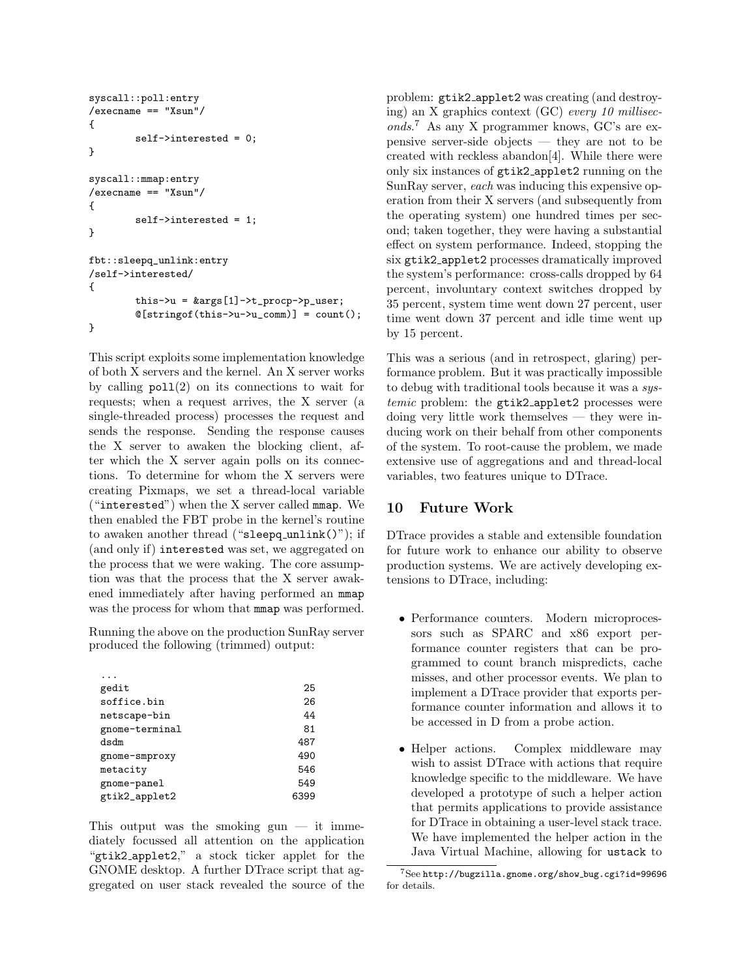```
syscall::poll:entry
/execname == "Xsun"/
{
        self->interested = 0;
}
syscall::mmap:entry
/execname == "Xsun"/
{
        self->interested = 1;
}
fbt::sleepq_unlink:entry
/self->interested/
{
        this->u = kargs[1]-\ge t\_procp->p\_user;@[string of (this->u->u_{comm})] = count();}
```
This script exploits some implementation knowledge of both X servers and the kernel. An X server works by calling  $pol(2)$  on its connections to wait for requests; when a request arrives, the X server (a single-threaded process) processes the request and sends the response. Sending the response causes the X server to awaken the blocking client, after which the X server again polls on its connections. To determine for whom the X servers were creating Pixmaps, we set a thread-local variable ("interested") when the X server called mmap. We then enabled the FBT probe in the kernel's routine to awaken another thread ("sleepq unlink()"); if (and only if) interested was set, we aggregated on the process that we were waking. The core assumption was that the process that the X server awakened immediately after having performed an mmap was the process for whom that mmap was performed.

Running the above on the production SunRay server produced the following (trimmed) output:

| gedit          | 25   |
|----------------|------|
| soffice bin    | 26   |
| netscape-bin   | 44   |
| gnome-terminal | 81   |
| dsdm           | 487  |
| gnome-smproxy  | 490  |
| metacity       | 546  |
| gnome-panel    | 549  |
| gtik2_applet2  | 6399 |

This output was the smoking gun  $-$  it immediately focussed all attention on the application "gtik2 applet2," a stock ticker applet for the GNOME desktop. A further DTrace script that aggregated on user stack revealed the source of the problem: gtik2 applet2 was creating (and destroying) an X graphics context (GC) every 10 milliseconds. <sup>7</sup> As any X programmer knows, GC's are expensive server-side objects — they are not to be created with reckless abandon[4]. While there were only six instances of gtik2 applet2 running on the SunRay server, each was inducing this expensive operation from their X servers (and subsequently from the operating system) one hundred times per second; taken together, they were having a substantial effect on system performance. Indeed, stopping the six gtik2 applet2 processes dramatically improved the system's performance: cross-calls dropped by 64 percent, involuntary context switches dropped by 35 percent, system time went down 27 percent, user time went down 37 percent and idle time went up by 15 percent.

This was a serious (and in retrospect, glaring) performance problem. But it was practically impossible to debug with traditional tools because it was a systemic problem: the gtik2\_applet2 processes were doing very little work themselves — they were inducing work on their behalf from other components of the system. To root-cause the problem, we made extensive use of aggregations and and thread-local variables, two features unique to DTrace.

### 10 Future Work

DTrace provides a stable and extensible foundation for future work to enhance our ability to observe production systems. We are actively developing extensions to DTrace, including:

- Performance counters. Modern microprocessors such as SPARC and x86 export performance counter registers that can be programmed to count branch mispredicts, cache misses, and other processor events. We plan to implement a DTrace provider that exports performance counter information and allows it to be accessed in D from a probe action.
- Helper actions. Complex middleware may wish to assist DTrace with actions that require knowledge specific to the middleware. We have developed a prototype of such a helper action that permits applications to provide assistance for DTrace in obtaining a user-level stack trace. We have implemented the helper action in the Java Virtual Machine, allowing for ustack to

<sup>7</sup>See http://bugzilla.gnome.org/show bug.cgi?id=99696 for details.